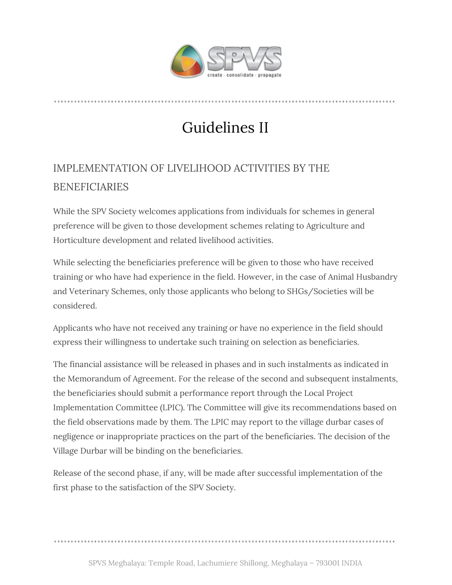

## Guidelines II

## IMPLEMENTATION OF LIVELIHOOD ACTIVITIES BY THE BENEFICIARIES

While the SPV Society welcomes applications from individuals for schemes in general preference will be given to those development schemes relating to Agriculture and Horticulture development and related livelihood activities.

While selecting the beneficiaries preference will be given to those who have received training or who have had experience in the field. However, in the case of Animal Husbandry and Veterinary Schemes, only those applicants who belong to SHGs/Societies will be considered.

Applicants who have not received any training or have no experience in the field should express their willingness to undertake such training on selection as beneficiaries.

The financial assistance will be released in phases and in such instalments as indicated in the Memorandum of Agreement. For the release of the second and subsequent instalments, the beneficiaries should submit a performance report through the Local Project Implementation Committee (LPIC). The Committee will give its recommendations based on the field observations made by them. The LPIC may report to the village durbar cases of negligence or inappropriate practices on the part of the beneficiaries. The decision of the Village Durbar will be binding on the beneficiaries.

Release of the second phase, if any, will be made after successful implementation of the first phase to the satisfaction of the SPV Society.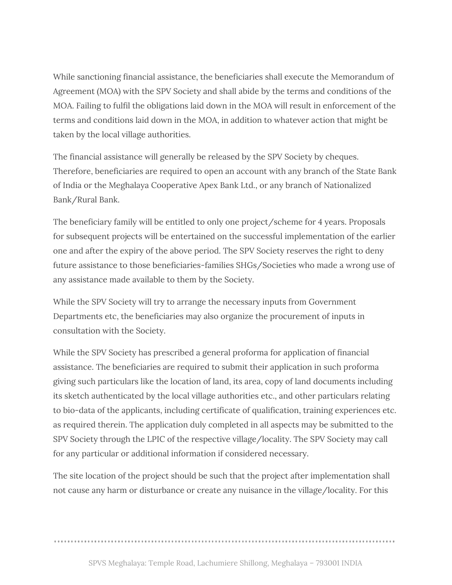While sanctioning financial assistance, the beneficiaries shall execute the Memorandum of Agreement (MOA) with the SPV Society and shall abide by the terms and conditions of the MOA. Failing to fulfil the obligations laid down in the MOA will result in enforcement of the terms and conditions laid down in the MOA, in addition to whatever action that might be taken by the local village authorities.

The financial assistance will generally be released by the SPV Society by cheques. Therefore, beneficiaries are required to open an account with any branch of the State Bank of India or the Meghalaya Cooperative Apex Bank Ltd., or any branch of Nationalized Bank/Rural Bank.

The beneficiary family will be entitled to only one project/scheme for 4 years. Proposals for subsequent projects will be entertained on the successful implementation of the earlier one and after the expiry of the above period. The SPV Society reserves the right to deny future assistance to those beneficiaries-families SHGs/Societies who made a wrong use of any assistance made available to them by the Society.

While the SPV Society will try to arrange the necessary inputs from Government Departments etc, the beneficiaries may also organize the procurement of inputs in consultation with the Society.

While the SPV Society has prescribed a general proforma for application of financial assistance. The beneficiaries are required to submit their application in such proforma giving such particulars like the location of land, its area, copy of land documents including its sketch authenticated by the local village authorities etc., and other particulars relating to bio-data of the applicants, including certificate of qualification, training experiences etc. as required therein. The application duly completed in all aspects may be submitted to the SPV Society through the LPIC of the respective village/locality. The SPV Society may call for any particular or additional information if considered necessary.

The site location of the project should be such that the project after implementation shall not cause any harm or disturbance or create any nuisance in the village/locality. For this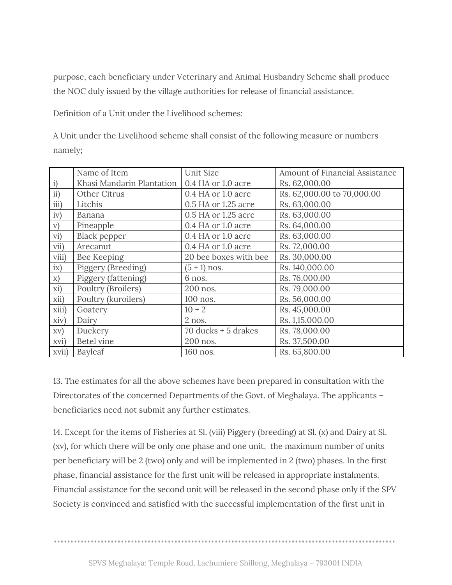purpose, each beneficiary under Veterinary and Animal Husbandry Scheme shall produce the NOC duly issued by the village authorities for release of financial assistance.

Definition of a Unit under the Livelihood schemes:

A Unit under the Livelihood scheme shall consist of the following measure or numbers namely;

|               | Name of Item              | Unit Size             | Amount of Financial Assistance |
|---------------|---------------------------|-----------------------|--------------------------------|
| $\mathbf{i}$  | Khasi Mandarin Plantation | 0.4 HA or 1.0 acre    | Rs. 62,000.00                  |
| $\mathbf{ii}$ | Other Citrus              | 0.4 HA or 1.0 acre    | Rs. 62,000.00 to 70,000.00     |
| iii)          | Litchis                   | 0.5 HA or 1.25 acre   | Rs. 63,000.00                  |
| iv)           | Banana                    | 0.5 HA or 1.25 acre   | Rs. 63,000.00                  |
| V)            | Pineapple                 | 0.4 HA or 1.0 acre    | Rs. 64,000.00                  |
| vi)           | <b>Black pepper</b>       | 0.4 HA or 1.0 acre    | Rs. 63,000.00                  |
| vii)          | Arecanut                  | 0.4 HA or 1.0 acre    | Rs. 72,000.00                  |
| viii)         | Bee Keeping               | 20 bee boxes with bee | Rs. 30,000.00                  |
| ix)           | Piggery (Breeding)        | $(5 + 1)$ nos.        | Rs. 140,000.00                 |
| $\mathbf{x})$ | Piggery (fattening)       | 6 nos.                | Rs. 76,000.00                  |
| xi)           | Poultry (Broilers)        | 200 nos.              | Rs. 79,000.00                  |
| xii)          | Poultry (kuroilers)       | 100 nos.              | Rs. 56,000.00                  |
| xiii)         | Goatery                   | $10 + 2$              | Rs. 45,000.00                  |
| xiv)          | Dairy                     | 2 nos.                | Rs. 1,15,000.00                |
| XV)           | Duckery                   | 70 ducks $+5$ drakes  | Rs. 78,000.00                  |
| xvi)          | <b>Betel vine</b>         | 200 nos.              | Rs. 37,500.00                  |
| xvii)         | Bayleaf                   | 160 nos.              | Rs. 65,800.00                  |

13. The estimates for all the above schemes have been prepared in consultation with the Directorates of the concerned Departments of the Govt. of Meghalaya. The applicants – beneficiaries need not submit any further estimates.

14. Except for the items of Fisheries at Sl. (viii) Piggery (breeding) at Sl. (x) and Dairy at Sl. (xv), for which there will be only one phase and one unit, the maximum number of units per beneficiary will be 2 (two) only and will be implemented in 2 (two) phases. In the first phase, financial assistance for the first unit will be released in appropriate instalments. Financial assistance for the second unit will be released in the second phase only if the SPV Society is convinced and satisfied with the successful implementation of the first unit in